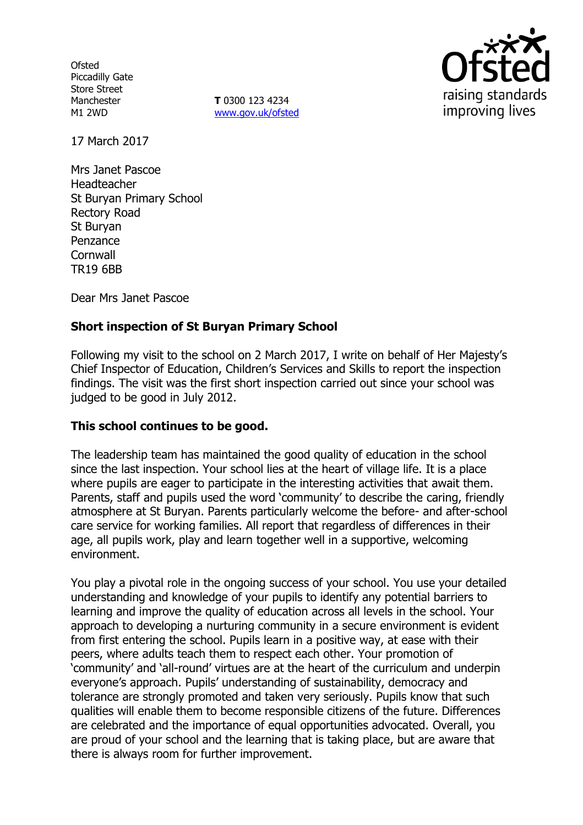**Ofsted** Piccadilly Gate Store Street Manchester M1 2WD

**T** 0300 123 4234 www.gov.uk/ofsted



17 March 2017

Mrs Janet Pascoe Headteacher St Buryan Primary School Rectory Road St Buryan Penzance **Cornwall** TR19 6BB

Dear Mrs Janet Pascoe

# **Short inspection of St Buryan Primary School**

Following my visit to the school on 2 March 2017, I write on behalf of Her Majesty's Chief Inspector of Education, Children's Services and Skills to report the inspection findings. The visit was the first short inspection carried out since your school was judged to be good in July 2012.

### **This school continues to be good.**

The leadership team has maintained the good quality of education in the school since the last inspection. Your school lies at the heart of village life. It is a place where pupils are eager to participate in the interesting activities that await them. Parents, staff and pupils used the word 'community' to describe the caring, friendly atmosphere at St Buryan. Parents particularly welcome the before- and after-school care service for working families. All report that regardless of differences in their age, all pupils work, play and learn together well in a supportive, welcoming environment.

You play a pivotal role in the ongoing success of your school. You use your detailed understanding and knowledge of your pupils to identify any potential barriers to learning and improve the quality of education across all levels in the school. Your approach to developing a nurturing community in a secure environment is evident from first entering the school. Pupils learn in a positive way, at ease with their peers, where adults teach them to respect each other. Your promotion of 'community' and 'all-round' virtues are at the heart of the curriculum and underpin everyone's approach. Pupils' understanding of sustainability, democracy and tolerance are strongly promoted and taken very seriously. Pupils know that such qualities will enable them to become responsible citizens of the future. Differences are celebrated and the importance of equal opportunities advocated. Overall, you are proud of your school and the learning that is taking place, but are aware that there is always room for further improvement.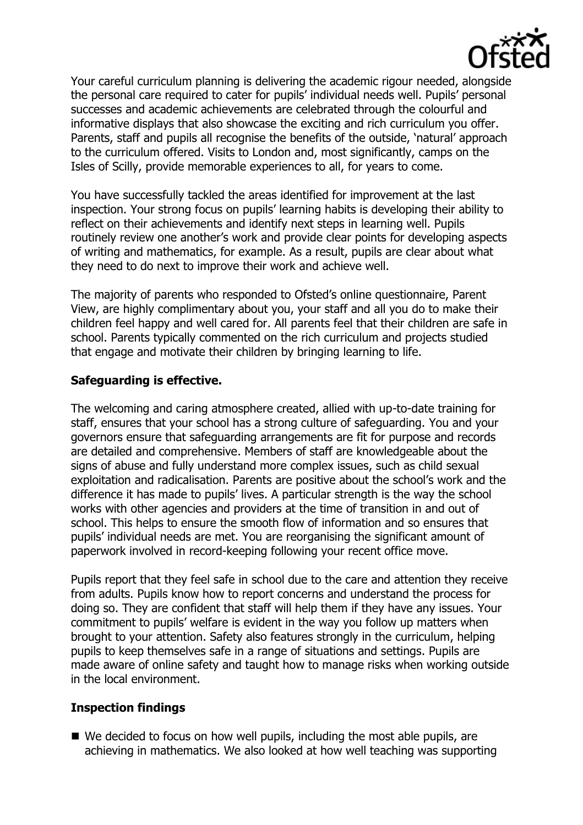

Your careful curriculum planning is delivering the academic rigour needed, alongside the personal care required to cater for pupils' individual needs well. Pupils' personal successes and academic achievements are celebrated through the colourful and informative displays that also showcase the exciting and rich curriculum you offer. Parents, staff and pupils all recognise the benefits of the outside, 'natural' approach to the curriculum offered. Visits to London and, most significantly, camps on the Isles of Scilly, provide memorable experiences to all, for years to come.

You have successfully tackled the areas identified for improvement at the last inspection. Your strong focus on pupils' learning habits is developing their ability to reflect on their achievements and identify next steps in learning well. Pupils routinely review one another's work and provide clear points for developing aspects of writing and mathematics, for example. As a result, pupils are clear about what they need to do next to improve their work and achieve well.

The majority of parents who responded to Ofsted's online questionnaire, Parent View, are highly complimentary about you, your staff and all you do to make their children feel happy and well cared for. All parents feel that their children are safe in school. Parents typically commented on the rich curriculum and projects studied that engage and motivate their children by bringing learning to life.

### **Safeguarding is effective.**

The welcoming and caring atmosphere created, allied with up-to-date training for staff, ensures that your school has a strong culture of safeguarding. You and your governors ensure that safeguarding arrangements are fit for purpose and records are detailed and comprehensive. Members of staff are knowledgeable about the signs of abuse and fully understand more complex issues, such as child sexual exploitation and radicalisation. Parents are positive about the school's work and the difference it has made to pupils' lives. A particular strength is the way the school works with other agencies and providers at the time of transition in and out of school. This helps to ensure the smooth flow of information and so ensures that pupils' individual needs are met. You are reorganising the significant amount of paperwork involved in record-keeping following your recent office move.

Pupils report that they feel safe in school due to the care and attention they receive from adults. Pupils know how to report concerns and understand the process for doing so. They are confident that staff will help them if they have any issues. Your commitment to pupils' welfare is evident in the way you follow up matters when brought to your attention. Safety also features strongly in the curriculum, helping pupils to keep themselves safe in a range of situations and settings. Pupils are made aware of online safety and taught how to manage risks when working outside in the local environment.

### **Inspection findings**

■ We decided to focus on how well pupils, including the most able pupils, are achieving in mathematics. We also looked at how well teaching was supporting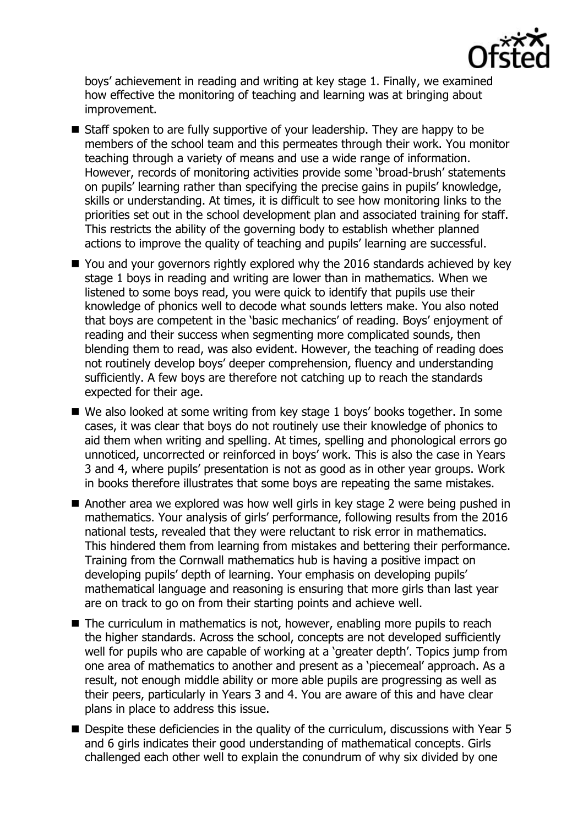

boys' achievement in reading and writing at key stage 1. Finally, we examined how effective the monitoring of teaching and learning was at bringing about improvement.

- Staff spoken to are fully supportive of your leadership. They are happy to be members of the school team and this permeates through their work. You monitor teaching through a variety of means and use a wide range of information. However, records of monitoring activities provide some 'broad-brush' statements on pupils' learning rather than specifying the precise gains in pupils' knowledge, skills or understanding. At times, it is difficult to see how monitoring links to the priorities set out in the school development plan and associated training for staff. This restricts the ability of the governing body to establish whether planned actions to improve the quality of teaching and pupils' learning are successful.
- You and your governors rightly explored why the 2016 standards achieved by key stage 1 boys in reading and writing are lower than in mathematics. When we listened to some boys read, you were quick to identify that pupils use their knowledge of phonics well to decode what sounds letters make. You also noted that boys are competent in the 'basic mechanics' of reading. Boys' enjoyment of reading and their success when segmenting more complicated sounds, then blending them to read, was also evident. However, the teaching of reading does not routinely develop boys' deeper comprehension, fluency and understanding sufficiently. A few boys are therefore not catching up to reach the standards expected for their age.
- We also looked at some writing from key stage 1 boys' books together. In some cases, it was clear that boys do not routinely use their knowledge of phonics to aid them when writing and spelling. At times, spelling and phonological errors go unnoticed, uncorrected or reinforced in boys' work. This is also the case in Years 3 and 4, where pupils' presentation is not as good as in other year groups. Work in books therefore illustrates that some boys are repeating the same mistakes.
- Another area we explored was how well girls in key stage 2 were being pushed in mathematics. Your analysis of girls' performance, following results from the 2016 national tests, revealed that they were reluctant to risk error in mathematics. This hindered them from learning from mistakes and bettering their performance. Training from the Cornwall mathematics hub is having a positive impact on developing pupils' depth of learning. Your emphasis on developing pupils' mathematical language and reasoning is ensuring that more girls than last year are on track to go on from their starting points and achieve well.
- The curriculum in mathematics is not, however, enabling more pupils to reach the higher standards. Across the school, concepts are not developed sufficiently well for pupils who are capable of working at a 'greater depth'. Topics jump from one area of mathematics to another and present as a 'piecemeal' approach. As a result, not enough middle ability or more able pupils are progressing as well as their peers, particularly in Years 3 and 4. You are aware of this and have clear plans in place to address this issue.
- Despite these deficiencies in the quality of the curriculum, discussions with Year 5 and 6 girls indicates their good understanding of mathematical concepts. Girls challenged each other well to explain the conundrum of why six divided by one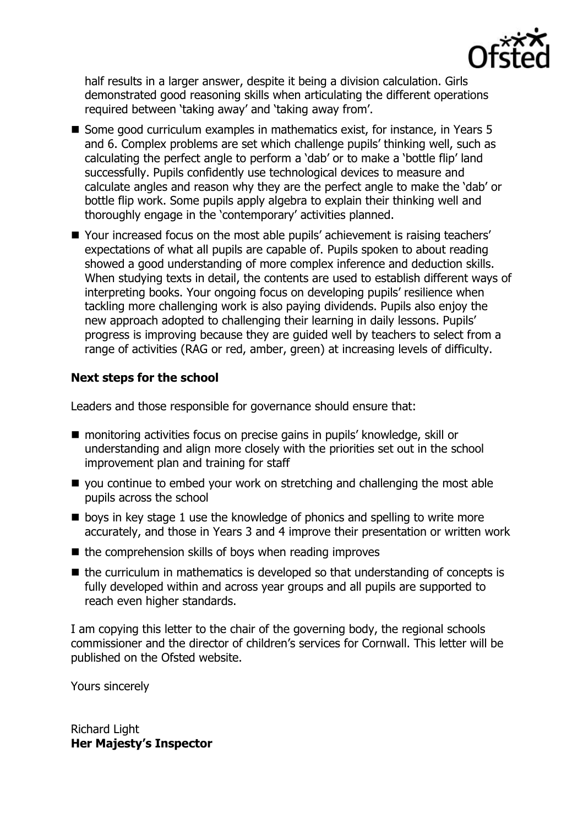

half results in a larger answer, despite it being a division calculation. Girls demonstrated good reasoning skills when articulating the different operations required between 'taking away' and 'taking away from'.

- Some good curriculum examples in mathematics exist, for instance, in Years 5 and 6. Complex problems are set which challenge pupils' thinking well, such as calculating the perfect angle to perform a 'dab' or to make a 'bottle flip' land successfully. Pupils confidently use technological devices to measure and calculate angles and reason why they are the perfect angle to make the 'dab' or bottle flip work. Some pupils apply algebra to explain their thinking well and thoroughly engage in the 'contemporary' activities planned.
- Your increased focus on the most able pupils' achievement is raising teachers' expectations of what all pupils are capable of. Pupils spoken to about reading showed a good understanding of more complex inference and deduction skills. When studying texts in detail, the contents are used to establish different ways of interpreting books. Your ongoing focus on developing pupils' resilience when tackling more challenging work is also paying dividends. Pupils also enjoy the new approach adopted to challenging their learning in daily lessons. Pupils' progress is improving because they are guided well by teachers to select from a range of activities (RAG or red, amber, green) at increasing levels of difficulty.

# **Next steps for the school**

Leaders and those responsible for governance should ensure that:

- monitoring activities focus on precise gains in pupils' knowledge, skill or understanding and align more closely with the priorities set out in the school improvement plan and training for staff
- you continue to embed your work on stretching and challenging the most able pupils across the school
- **Delays in key stage 1 use the knowledge of phonics and spelling to write more** accurately, and those in Years 3 and 4 improve their presentation or written work
- $\blacksquare$  the comprehension skills of boys when reading improves
- $\blacksquare$  the curriculum in mathematics is developed so that understanding of concepts is fully developed within and across year groups and all pupils are supported to reach even higher standards.

I am copying this letter to the chair of the governing body, the regional schools commissioner and the director of children's services for Cornwall. This letter will be published on the Ofsted website.

Yours sincerely

Richard Light **Her Majesty's Inspector**